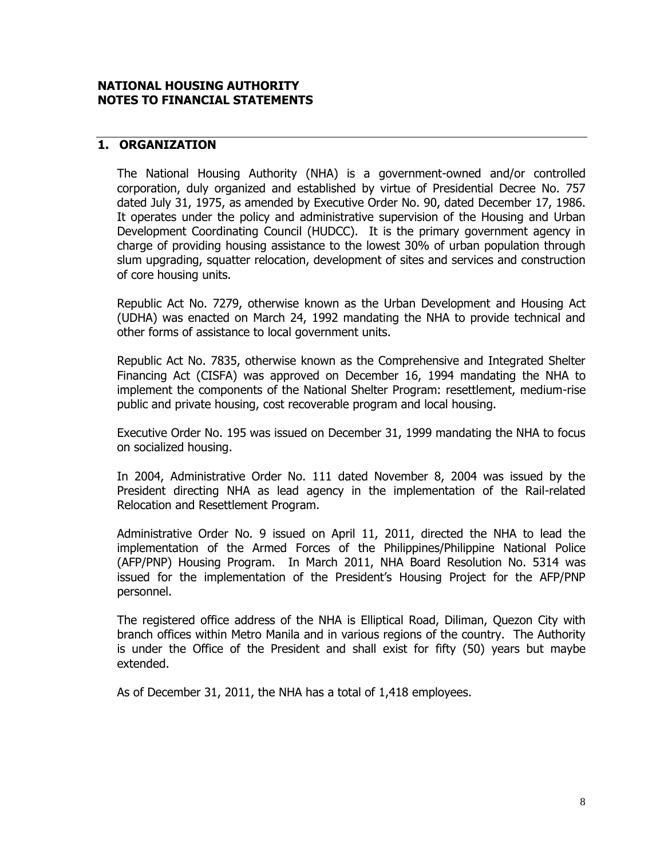### **NATIONAL HOUSING AUTHORITY NOTES TO FINANCIAL STATEMENTS**

# **1. ORGANIZATION**

The National Housing Authority (NHA) is a government-owned and/or controlled corporation, duly organized and established by virtue of Presidential Decree No. 757 dated July 31, 1975, as amended by Executive Order No. 90, dated December 17, 1986. It operates under the policy and administrative supervision of the Housing and Urban Development Coordinating Council (HUDCC). It is the primary government agency in charge of providing housing assistance to the lowest 30% of urban population through slum upgrading, squatter relocation, development of sites and services and construction of core housing units.

Republic Act No. 7279, otherwise known as the Urban Development and Housing Act (UDHA) was enacted on March 24, 1992 mandating the NHA to provide technical and other forms of assistance to local government units.

Republic Act No. 7835, otherwise known as the Comprehensive and Integrated Shelter Financing Act (CISFA) was approved on December 16, 1994 mandating the NHA to implement the components of the National Shelter Program: resettlement, medium-rise public and private housing, cost recoverable program and local housing.

Executive Order No. 195 was issued on December 31, 1999 mandating the NHA to focus on socialized housing.

In 2004, Administrative Order No. 111 dated November 8, 2004 was issued by the President directing NHA as lead agency in the implementation of the Rail-related Relocation and Resettlement Program.

Administrative Order No. 9 issued on April 11, 2011, directed the NHA to lead the implementation of the Armed Forces of the Philippines/Philippine National Police (AFP/PNP) Housing Program. In March 2011, NHA Board Resolution No. 5314 was issued for the implementation of the President's Housing Project for the AFP/PNP personnel.

The registered office address of the NHA is Elliptical Road, Diliman, Quezon City with branch offices within Metro Manila and in various regions of the country. The Authority is under the Office of the President and shall exist for fifty (50) years but maybe extended.

As of December 31, 2011, the NHA has a total of 1,418 employees.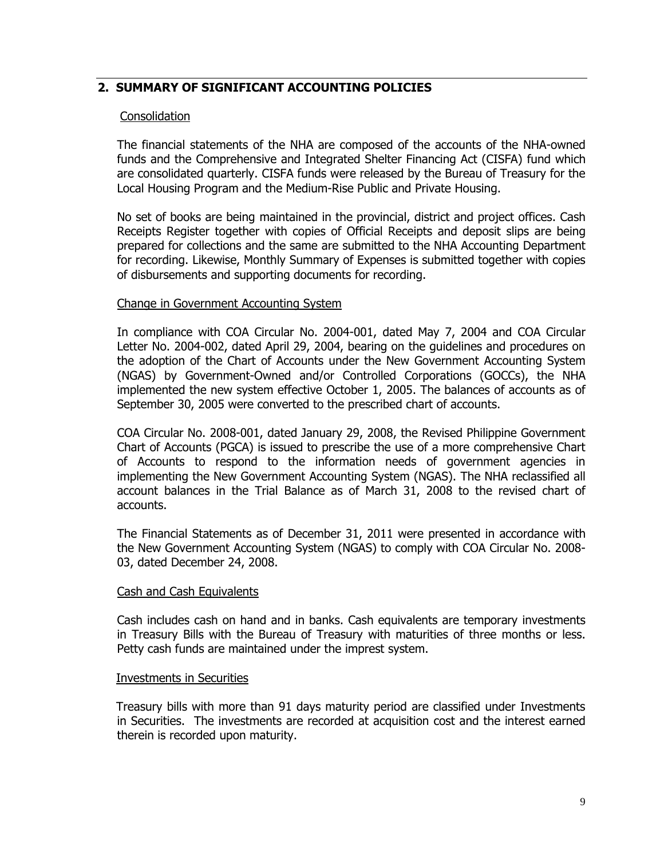# **2. SUMMARY OF SIGNIFICANT ACCOUNTING POLICIES**

### **Consolidation**

The financial statements of the NHA are composed of the accounts of the NHA-owned funds and the Comprehensive and Integrated Shelter Financing Act (CISFA) fund which are consolidated quarterly. CISFA funds were released by the Bureau of Treasury for the Local Housing Program and the Medium-Rise Public and Private Housing.

No set of books are being maintained in the provincial, district and project offices. Cash Receipts Register together with copies of Official Receipts and deposit slips are being prepared for collections and the same are submitted to the NHA Accounting Department for recording. Likewise, Monthly Summary of Expenses is submitted together with copies of disbursements and supporting documents for recording.

#### Change in Government Accounting System

In compliance with COA Circular No. 2004-001, dated May 7, 2004 and COA Circular Letter No. 2004-002, dated April 29, 2004, bearing on the guidelines and procedures on the adoption of the Chart of Accounts under the New Government Accounting System (NGAS) by Government-Owned and/or Controlled Corporations (GOCCs), the NHA implemented the new system effective October 1, 2005. The balances of accounts as of September 30, 2005 were converted to the prescribed chart of accounts.

COA Circular No. 2008-001, dated January 29, 2008, the Revised Philippine Government Chart of Accounts (PGCA) is issued to prescribe the use of a more comprehensive Chart of Accounts to respond to the information needs of government agencies in implementing the New Government Accounting System (NGAS). The NHA reclassified all account balances in the Trial Balance as of March 31, 2008 to the revised chart of accounts.

The Financial Statements as of December 31, 2011 were presented in accordance with the New Government Accounting System (NGAS) to comply with COA Circular No. 2008- 03, dated December 24, 2008.

#### Cash and Cash Equivalents

Cash includes cash on hand and in banks. Cash equivalents are temporary investments in Treasury Bills with the Bureau of Treasury with maturities of three months or less. Petty cash funds are maintained under the imprest system.

#### Investments in Securities

 Treasury bills with more than 91 days maturity period are classified under Investments in Securities. The investments are recorded at acquisition cost and the interest earned therein is recorded upon maturity.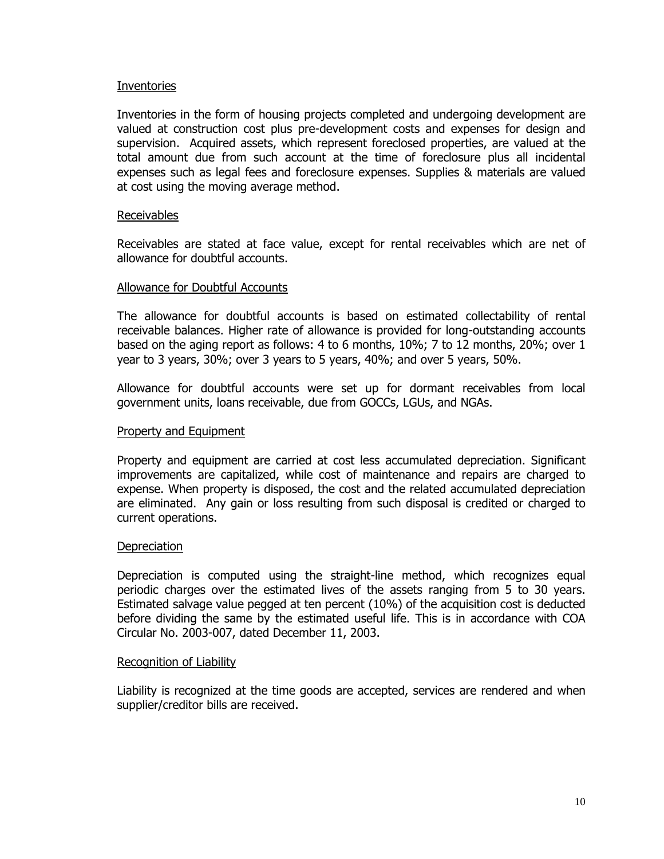#### Inventories

Inventories in the form of housing projects completed and undergoing development are valued at construction cost plus pre-development costs and expenses for design and supervision. Acquired assets, which represent foreclosed properties, are valued at the total amount due from such account at the time of foreclosure plus all incidental expenses such as legal fees and foreclosure expenses. Supplies & materials are valued at cost using the moving average method.

#### Receivables

Receivables are stated at face value, except for rental receivables which are net of allowance for doubtful accounts.

#### Allowance for Doubtful Accounts

The allowance for doubtful accounts is based on estimated collectability of rental receivable balances. Higher rate of allowance is provided for long-outstanding accounts based on the aging report as follows: 4 to 6 months, 10%; 7 to 12 months, 20%; over 1 year to 3 years, 30%; over 3 years to 5 years, 40%; and over 5 years, 50%.

Allowance for doubtful accounts were set up for dormant receivables from local government units, loans receivable, due from GOCCs, LGUs, and NGAs.

#### Property and Equipment

Property and equipment are carried at cost less accumulated depreciation. Significant improvements are capitalized, while cost of maintenance and repairs are charged to expense. When property is disposed, the cost and the related accumulated depreciation are eliminated. Any gain or loss resulting from such disposal is credited or charged to current operations.

#### **Depreciation**

Depreciation is computed using the straight-line method, which recognizes equal periodic charges over the estimated lives of the assets ranging from 5 to 30 years. Estimated salvage value pegged at ten percent (10%) of the acquisition cost is deducted before dividing the same by the estimated useful life. This is in accordance with COA Circular No. 2003-007, dated December 11, 2003.

#### Recognition of Liability

Liability is recognized at the time goods are accepted, services are rendered and when supplier/creditor bills are received.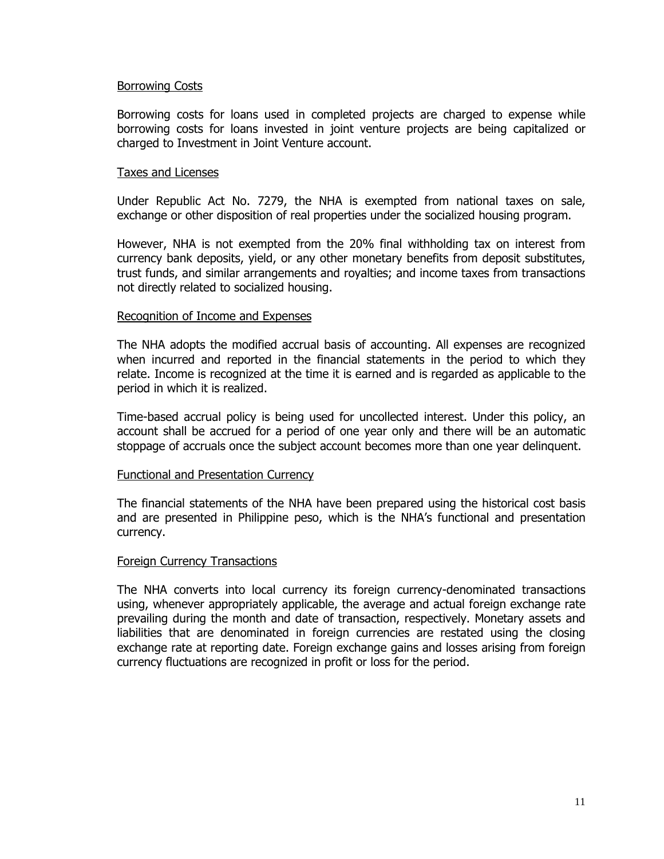#### Borrowing Costs

Borrowing costs for loans used in completed projects are charged to expense while borrowing costs for loans invested in joint venture projects are being capitalized or charged to Investment in Joint Venture account.

#### Taxes and Licenses

Under Republic Act No. 7279, the NHA is exempted from national taxes on sale, exchange or other disposition of real properties under the socialized housing program.

However, NHA is not exempted from the 20% final withholding tax on interest from currency bank deposits, yield, or any other monetary benefits from deposit substitutes, trust funds, and similar arrangements and royalties; and income taxes from transactions not directly related to socialized housing.

#### Recognition of Income and Expenses

The NHA adopts the modified accrual basis of accounting. All expenses are recognized when incurred and reported in the financial statements in the period to which they relate. Income is recognized at the time it is earned and is regarded as applicable to the period in which it is realized.

Time-based accrual policy is being used for uncollected interest. Under this policy, an account shall be accrued for a period of one year only and there will be an automatic stoppage of accruals once the subject account becomes more than one year delinquent.

#### Functional and Presentation Currency

The financial statements of the NHA have been prepared using the historical cost basis and are presented in Philippine peso, which is the NHA's functional and presentation currency.

#### Foreign Currency Transactions

The NHA converts into local currency its foreign currency-denominated transactions using, whenever appropriately applicable, the average and actual foreign exchange rate prevailing during the month and date of transaction, respectively. Monetary assets and liabilities that are denominated in foreign currencies are restated using the closing exchange rate at reporting date. Foreign exchange gains and losses arising from foreign currency fluctuations are recognized in profit or loss for the period.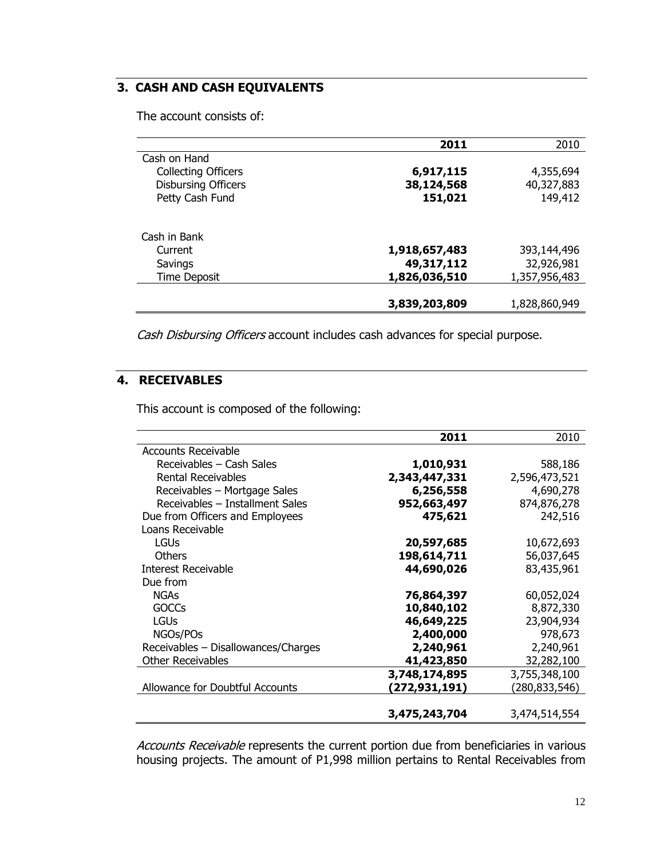# **3. CASH AND CASH EQUIVALENTS**

The account consists of:

|                            | 2011          | 2010          |
|----------------------------|---------------|---------------|
| Cash on Hand               |               |               |
| <b>Collecting Officers</b> | 6,917,115     | 4,355,694     |
| <b>Disbursing Officers</b> | 38,124,568    | 40,327,883    |
| Petty Cash Fund            | 151,021       | 149,412       |
| Cash in Bank               |               |               |
| Current                    | 1,918,657,483 | 393,144,496   |
| Savings                    | 49,317,112    | 32,926,981    |
| <b>Time Deposit</b>        | 1,826,036,510 | 1,357,956,483 |
|                            |               |               |
|                            | 3,839,203,809 | 1,828,860,949 |

Cash Disbursing Officers account includes cash advances for special purpose.

# **4. RECEIVABLES**

This account is composed of the following:

|                                     | 2011          | 2010          |
|-------------------------------------|---------------|---------------|
| <b>Accounts Receivable</b>          |               |               |
| Receivables - Cash Sales            | 1,010,931     | 588,186       |
| <b>Rental Receivables</b>           | 2,343,447,331 | 2,596,473,521 |
| Receivables - Mortgage Sales        | 6,256,558     | 4,690,278     |
| Receivables - Installment Sales     | 952,663,497   | 874,876,278   |
| Due from Officers and Employees     | 475,621       | 242,516       |
| Loans Receivable                    |               |               |
| <b>LGUs</b>                         | 20,597,685    | 10,672,693    |
| Others                              | 198,614,711   | 56,037,645    |
| Interest Receivable                 | 44,690,026    | 83,435,961    |
| Due from                            |               |               |
| <b>NGAs</b>                         | 76,864,397    | 60,052,024    |
| <b>GOCCs</b>                        | 10,840,102    | 8,872,330     |
| <b>LGUs</b>                         | 46,649,225    | 23,904,934    |
| NGOs/POs                            | 2,400,000     | 978,673       |
| Receivables - Disallowances/Charges | 2,240,961     | 2,240,961     |
| <b>Other Receivables</b>            | 41,423,850    | 32,282,100    |
|                                     | 3,748,174,895 | 3,755,348,100 |
| Allowance for Doubtful Accounts     | (272,931,191) | (280,833,546) |
|                                     |               |               |
|                                     | 3,475,243,704 | 3,474,514,554 |

Accounts Receivable represents the current portion due from beneficiaries in various housing projects. The amount of P1,998 million pertains to Rental Receivables from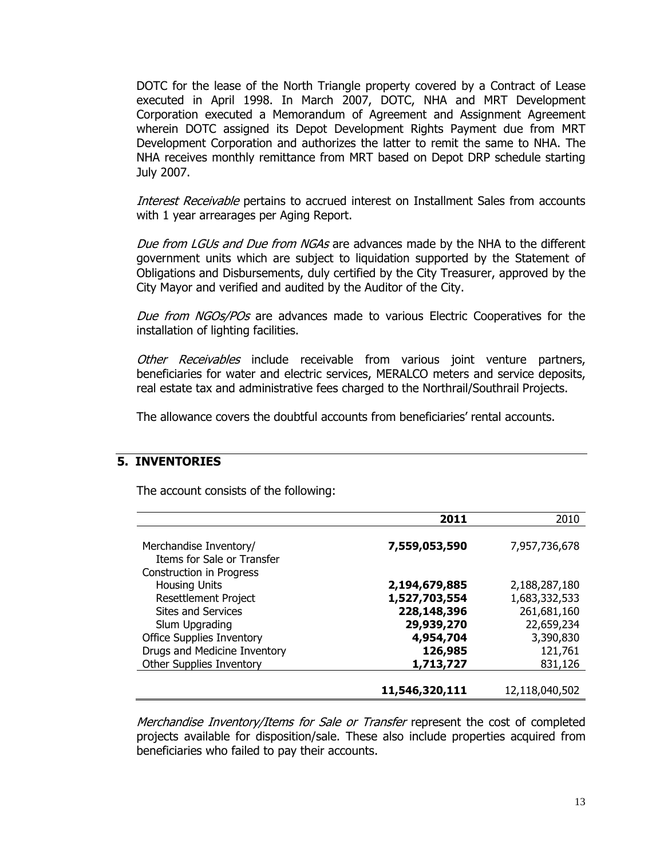DOTC for the lease of the North Triangle property covered by a Contract of Lease executed in April 1998. In March 2007, DOTC, NHA and MRT Development Corporation executed a Memorandum of Agreement and Assignment Agreement wherein DOTC assigned its Depot Development Rights Payment due from MRT Development Corporation and authorizes the latter to remit the same to NHA. The NHA receives monthly remittance from MRT based on Depot DRP schedule starting July 2007.

Interest Receivable pertains to accrued interest on Installment Sales from accounts with 1 year arrearages per Aging Report.

Due from LGUs and Due from NGAs are advances made by the NHA to the different government units which are subject to liquidation supported by the Statement of Obligations and Disbursements, duly certified by the City Treasurer, approved by the City Mayor and verified and audited by the Auditor of the City.

Due from NGOs/POs are advances made to various Electric Cooperatives for the installation of lighting facilities.

Other Receivables include receivable from various joint venture partners, beneficiaries for water and electric services, MERALCO meters and service deposits, real estate tax and administrative fees charged to the Northrail/Southrail Projects.

The allowance covers the doubtful accounts from beneficiaries' rental accounts.

# **5. INVENTORIES**

The account consists of the following:

|                                                                                         | 2011                           | 2010                           |
|-----------------------------------------------------------------------------------------|--------------------------------|--------------------------------|
| Merchandise Inventory/<br>Items for Sale or Transfer<br><b>Construction in Progress</b> | 7,559,053,590                  | 7,957,736,678                  |
| <b>Housing Units</b><br><b>Resettlement Project</b>                                     | 2,194,679,885<br>1,527,703,554 | 2,188,287,180<br>1,683,332,533 |
| Sites and Services<br>Slum Upgrading                                                    | 228,148,396<br>29,939,270      | 261,681,160<br>22,659,234      |
| <b>Office Supplies Inventory</b><br>Drugs and Medicine Inventory                        | 4,954,704<br>126,985           | 3,390,830<br>121,761           |
| <b>Other Supplies Inventory</b>                                                         | 1,713,727                      | 831,126                        |
|                                                                                         | 11,546,320,111                 | 12,118,040,502                 |

Merchandise Inventory/Items for Sale or Transfer represent the cost of completed projects available for disposition/sale. These also include properties acquired from beneficiaries who failed to pay their accounts.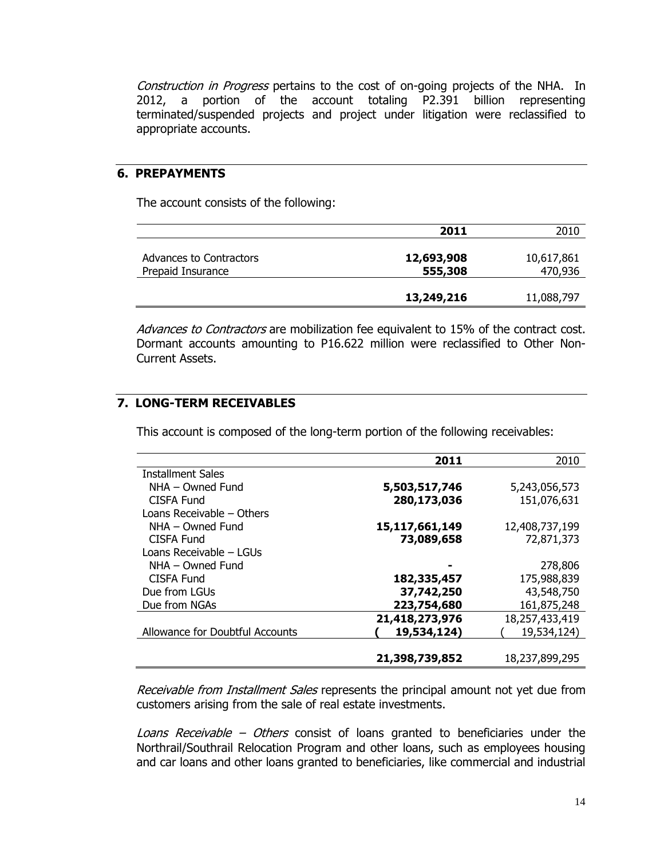Construction in Progress pertains to the cost of on-going projects of the NHA. In 2012, a portion of the account totaling P2.391 billion representing terminated/suspended projects and project under litigation were reclassified to appropriate accounts.

#### **6. PREPAYMENTS**

The account consists of the following:

|                         | 2011       | 2010       |
|-------------------------|------------|------------|
|                         |            |            |
| Advances to Contractors | 12,693,908 | 10,617,861 |
| Prepaid Insurance       | 555,308    | 470,936    |
|                         |            |            |
|                         | 13,249,216 | 11,088,797 |

Advances to Contractors are mobilization fee equivalent to 15% of the contract cost. Dormant accounts amounting to P16.622 million were reclassified to Other Non-Current Assets.

# **7. LONG-TERM RECEIVABLES**

This account is composed of the long-term portion of the following receivables:

|                                 | 2011           | 2010           |
|---------------------------------|----------------|----------------|
| <b>Installment Sales</b>        |                |                |
| NHA - Owned Fund                | 5,503,517,746  | 5,243,056,573  |
| CISFA Fund                      | 280,173,036    | 151,076,631    |
| Loans Receivable - Others       |                |                |
| NHA - Owned Fund                | 15,117,661,149 | 12,408,737,199 |
| <b>CISFA Fund</b>               | 73,089,658     | 72,871,373     |
| Loans Receivable - LGUs         |                |                |
| $NHA - Owned Fund$              |                | 278,806        |
| CISFA Fund                      | 182,335,457    | 175,988,839    |
| Due from LGUs                   | 37,742,250     | 43,548,750     |
| Due from NGAs                   | 223,754,680    | 161,875,248    |
|                                 | 21,418,273,976 | 18,257,433,419 |
| Allowance for Doubtful Accounts | 19,534,124)    | 19,534,124)    |
|                                 |                |                |
|                                 | 21,398,739,852 | 18,237,899,295 |

Receivable from Installment Sales represents the principal amount not yet due from customers arising from the sale of real estate investments.

Loans Receivable – Others consist of loans granted to beneficiaries under the Northrail/Southrail Relocation Program and other loans, such as employees housing and car loans and other loans granted to beneficiaries, like commercial and industrial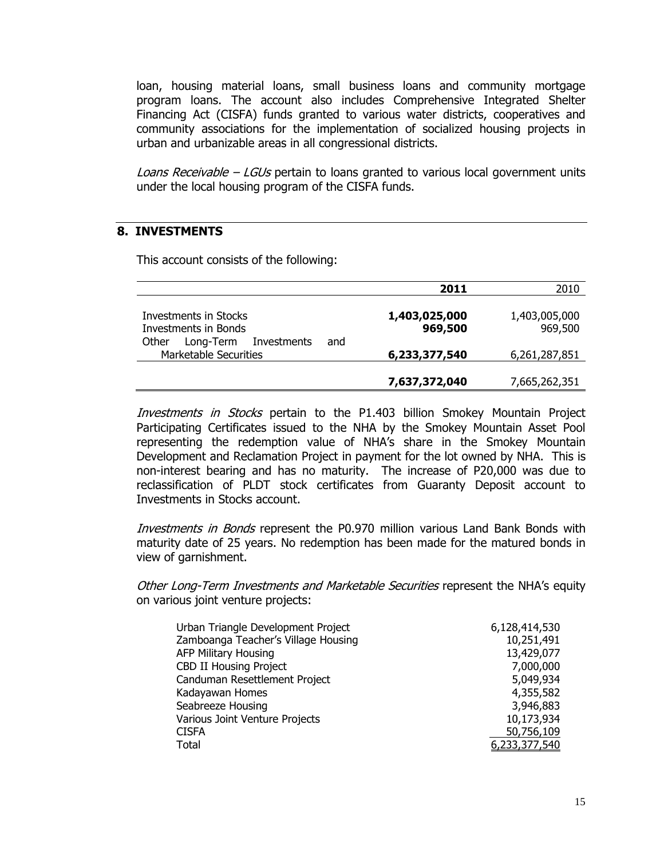loan, housing material loans, small business loans and community mortgage program loans. The account also includes Comprehensive Integrated Shelter Financing Act (CISFA) funds granted to various water districts, cooperatives and community associations for the implementation of socialized housing projects in urban and urbanizable areas in all congressional districts.

Loans Receivable  $-$  LGUs pertain to loans granted to various local government units under the local housing program of the CISFA funds.

# **8. INVESTMENTS**

This account consists of the following:

|                                                                          | 2011                     | 2010                     |
|--------------------------------------------------------------------------|--------------------------|--------------------------|
| Investments in Stocks<br><b>Investments in Bonds</b>                     | 1,403,025,000<br>969,500 | 1,403,005,000<br>969,500 |
| Investments<br>Long-Term<br>Other<br>and<br><b>Marketable Securities</b> | 6,233,377,540            | 6,261,287,851            |
|                                                                          | 7,637,372,040            | 7,665,262,351            |

Investments in Stocks pertain to the P1.403 billion Smokey Mountain Project Participating Certificates issued to the NHA by the Smokey Mountain Asset Pool representing the redemption value of NHA's share in the Smokey Mountain Development and Reclamation Project in payment for the lot owned by NHA. This is non-interest bearing and has no maturity. The increase of P20,000 was due to reclassification of PLDT stock certificates from Guaranty Deposit account to Investments in Stocks account.

Investments in Bonds represent the P0.970 million various Land Bank Bonds with maturity date of 25 years. No redemption has been made for the matured bonds in view of garnishment.

Other Long-Term Investments and Marketable Securities represent the NHA's equity on various joint venture projects:

| Urban Triangle Development Project  | 6,128,414,530 |
|-------------------------------------|---------------|
| Zamboanga Teacher's Village Housing | 10,251,491    |
| <b>AFP Military Housing</b>         | 13,429,077    |
| <b>CBD II Housing Project</b>       | 7,000,000     |
| Canduman Resettlement Project       | 5,049,934     |
| Kadayawan Homes                     | 4,355,582     |
| Seabreeze Housing                   | 3,946,883     |
| Various Joint Venture Projects      | 10,173,934    |
| <b>CISFA</b>                        | 50,756,109    |
| Total                               | 6,233,377,540 |
|                                     |               |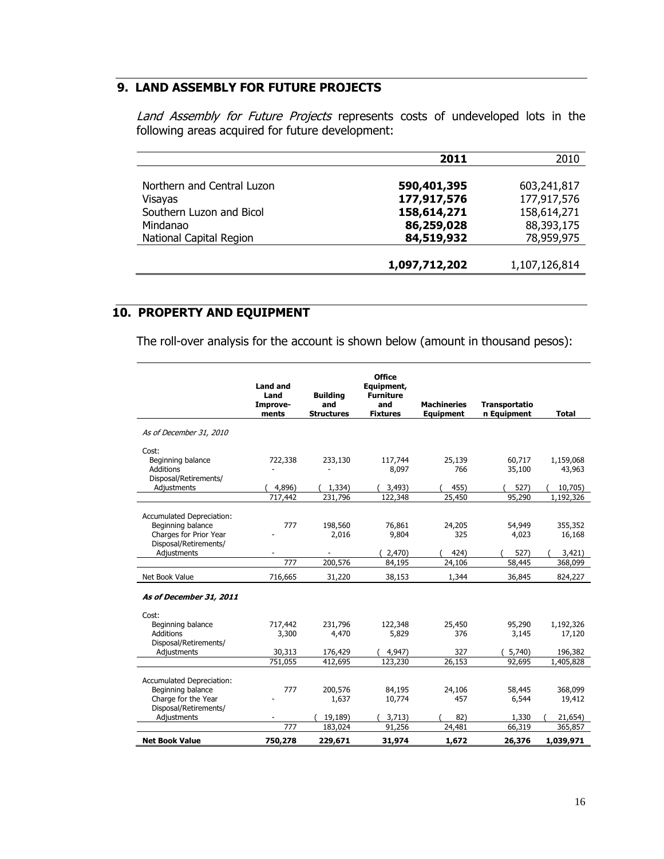# **9. LAND ASSEMBLY FOR FUTURE PROJECTS**

Land Assembly for Future Projects represents costs of undeveloped lots in the following areas acquired for future development:

|                            | 2011          | 2010          |
|----------------------------|---------------|---------------|
|                            |               |               |
| Northern and Central Luzon | 590,401,395   | 603,241,817   |
| Visayas                    | 177,917,576   | 177,917,576   |
| Southern Luzon and Bicol   | 158,614,271   | 158,614,271   |
| Mindanao                   | 86,259,028    | 88,393,175    |
| National Capital Region    | 84,519,932    | 78,959,975    |
|                            |               |               |
|                            | 1,097,712,202 | 1,107,126,814 |

# **10. PROPERTY AND EQUIPMENT**

The roll-over analysis for the account is shown below (amount in thousand pesos):

|                                                                                                               | <b>Land and</b><br>Land<br>Improve-<br>ments | <b>Building</b><br>and<br><b>Structures</b> | <b>Office</b><br>Equipment,<br><b>Furniture</b><br>and<br><b>Fixtures</b> | <b>Machineries</b><br><b>Equipment</b> | Transportatio<br>n Equipment | <b>Total</b>                 |
|---------------------------------------------------------------------------------------------------------------|----------------------------------------------|---------------------------------------------|---------------------------------------------------------------------------|----------------------------------------|------------------------------|------------------------------|
| As of December 31, 2010                                                                                       |                                              |                                             |                                                                           |                                        |                              |                              |
| Cost:<br>Beginning balance<br>Additions<br>Disposal/Retirements/                                              | 722,338                                      | 233,130                                     | 117,744<br>8,097                                                          | 25,139<br>766                          | 60,717<br>35,100             | 1,159,068<br>43,963          |
| Adjustments                                                                                                   | 4,896)                                       | 1,334)                                      | 3,493)                                                                    | 455)                                   | 527)                         | 10,705)                      |
|                                                                                                               | 717,442                                      | 231,796                                     | 122,348                                                                   | 25,450                                 | 95,290                       | 1,192,326                    |
| <b>Accumulated Depreciation:</b><br>Beginning balance<br>Charges for Prior Year<br>Disposal/Retirements/      | 777                                          | 198,560<br>2,016                            | 76,861<br>9,804                                                           | 24,205<br>325                          | 54,949<br>4,023              | 355,352<br>16,168            |
| Adjustments                                                                                                   |                                              |                                             | 2,470)                                                                    | 424)                                   | 527)                         | 3,421)                       |
|                                                                                                               | 777                                          | 200,576                                     | 84,195                                                                    | 24,106                                 | 58,445                       | 368,099                      |
| Net Book Value                                                                                                | 716,665                                      | 31,220                                      | 38,153                                                                    | 1,344                                  | 36,845                       | 824,227                      |
| As of December 31, 2011                                                                                       |                                              |                                             |                                                                           |                                        |                              |                              |
| Cost:<br>Beginning balance<br><b>Additions</b><br>Disposal/Retirements/                                       | 717,442<br>3,300                             | 231,796<br>4,470                            | 122,348<br>5,829                                                          | 25,450<br>376                          | 95,290<br>3,145              | 1,192,326<br>17,120          |
| Adjustments                                                                                                   | 30,313                                       | 176,429                                     | 4,947)                                                                    | 327                                    | 5,740)                       | 196,382                      |
|                                                                                                               | 751,055                                      | 412,695                                     | 123,230                                                                   | 26,153                                 | 92,695                       | 1,405,828                    |
| Accumulated Depreciation:<br>Beginning balance<br>Charge for the Year<br>Disposal/Retirements/<br>Adjustments | 777                                          | 200,576<br>1,637<br>19,189)                 | 84,195<br>10,774<br>3,713)                                                | 24,106<br>457<br>82)                   | 58,445<br>6,544<br>1,330     | 368,099<br>19,412<br>21,654) |
|                                                                                                               | 777                                          | 183,024                                     | 91,256                                                                    | 24,481                                 | 66,319                       | 365,857                      |
| <b>Net Book Value</b>                                                                                         | 750,278                                      | 229,671                                     | 31,974                                                                    | 1,672                                  | 26,376                       | 1,039,971                    |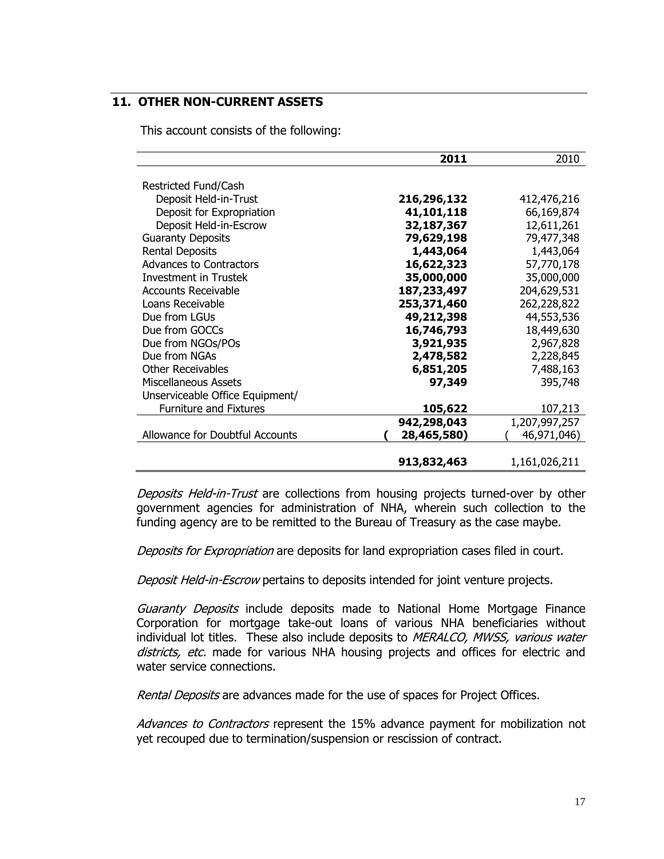# **11. OTHER NON-CURRENT ASSETS**

This account consists of the following:

|                                 | 2011        | 2010          |
|---------------------------------|-------------|---------------|
|                                 |             |               |
| Restricted Fund/Cash            |             |               |
| Deposit Held-in-Trust           | 216,296,132 | 412,476,216   |
| Deposit for Expropriation       | 41,101,118  | 66,169,874    |
| Deposit Held-in-Escrow          | 32,187,367  | 12,611,261    |
| <b>Guaranty Deposits</b>        | 79,629,198  | 79,477,348    |
| <b>Rental Deposits</b>          | 1,443,064   | 1,443,064     |
| <b>Advances to Contractors</b>  | 16,622,323  | 57,770,178    |
| Investment in Trustek           | 35,000,000  | 35,000,000    |
| <b>Accounts Receivable</b>      | 187,233,497 | 204,629,531   |
| Loans Receivable                | 253,371,460 | 262,228,822   |
| Due from LGUs                   | 49,212,398  | 44,553,536    |
| Due from GOCCs                  | 16,746,793  | 18,449,630    |
| Due from NGOs/POs               | 3,921,935   | 2,967,828     |
| Due from NGAs                   | 2,478,582   | 2,228,845     |
| Other Receivables               | 6,851,205   | 7,488,163     |
| <b>Miscellaneous Assets</b>     | 97,349      | 395,748       |
| Unserviceable Office Equipment/ |             |               |
| <b>Furniture and Fixtures</b>   | 105,622     | 107,213       |
|                                 | 942,298,043 | 1,207,997,257 |
| Allowance for Doubtful Accounts | 28,465,580) | 46,971,046)   |
|                                 |             |               |
|                                 | 913,832,463 | 1,161,026,211 |

Deposits Held-in-Trust are collections from housing projects turned-over by other government agencies for administration of NHA, wherein such collection to the funding agency are to be remitted to the Bureau of Treasury as the case maybe.

Deposits for Expropriation are deposits for land expropriation cases filed in court.

Deposit Held-in-Escrow pertains to deposits intended for joint venture projects.

Guaranty Deposits include deposits made to National Home Mortgage Finance Corporation for mortgage take-out loans of various NHA beneficiaries without individual lot titles. These also include deposits to MERALCO, MWSS, various water districts, etc. made for various NHA housing projects and offices for electric and water service connections.

Rental Deposits are advances made for the use of spaces for Project Offices.

Advances to Contractors represent the 15% advance payment for mobilization not yet recouped due to termination/suspension or rescission of contract.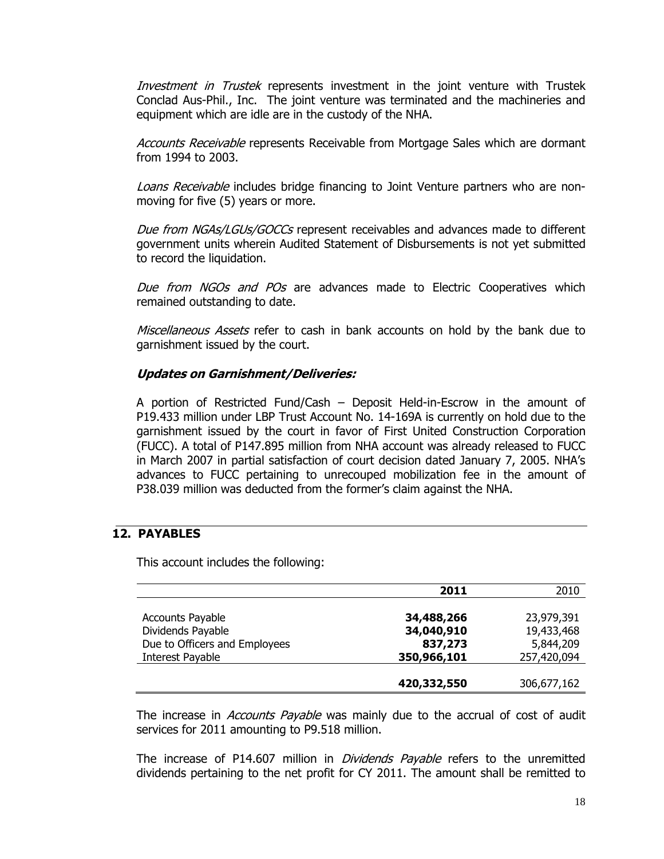Investment in Trustek represents investment in the joint venture with Trustek Conclad Aus-Phil., Inc. The joint venture was terminated and the machineries and equipment which are idle are in the custody of the NHA.

Accounts Receivable represents Receivable from Mortgage Sales which are dormant from 1994 to 2003.

Loans Receivable includes bridge financing to Joint Venture partners who are nonmoving for five (5) years or more.

Due from NGAs/LGUs/GOCCs represent receivables and advances made to different government units wherein Audited Statement of Disbursements is not yet submitted to record the liquidation.

Due from NGOs and POs are advances made to Electric Cooperatives which remained outstanding to date.

Miscellaneous Assets refer to cash in bank accounts on hold by the bank due to garnishment issued by the court.

# **Updates on Garnishment/Deliveries:**

A portion of Restricted Fund/Cash – Deposit Held-in-Escrow in the amount of P19.433 million under LBP Trust Account No. 14-169A is currently on hold due to the garnishment issued by the court in favor of First United Construction Corporation (FUCC). A total of P147.895 million from NHA account was already released to FUCC in March 2007 in partial satisfaction of court decision dated January 7, 2005. NHA's advances to FUCC pertaining to unrecouped mobilization fee in the amount of P38.039 million was deducted from the former's claim against the NHA.

# **12. PAYABLES**

This account includes the following:

|                               | 2011        | 2010        |
|-------------------------------|-------------|-------------|
|                               |             |             |
| <b>Accounts Payable</b>       | 34,488,266  | 23,979,391  |
| Dividends Payable             | 34,040,910  | 19,433,468  |
| Due to Officers and Employees | 837,273     | 5,844,209   |
| Interest Payable              | 350,966,101 | 257,420,094 |
|                               |             |             |
|                               | 420,332,550 | 306,677,162 |

The increase in *Accounts Payable* was mainly due to the accrual of cost of audit services for 2011 amounting to P9.518 million.

The increase of P14.607 million in *Dividends Payable* refers to the unremitted dividends pertaining to the net profit for CY 2011. The amount shall be remitted to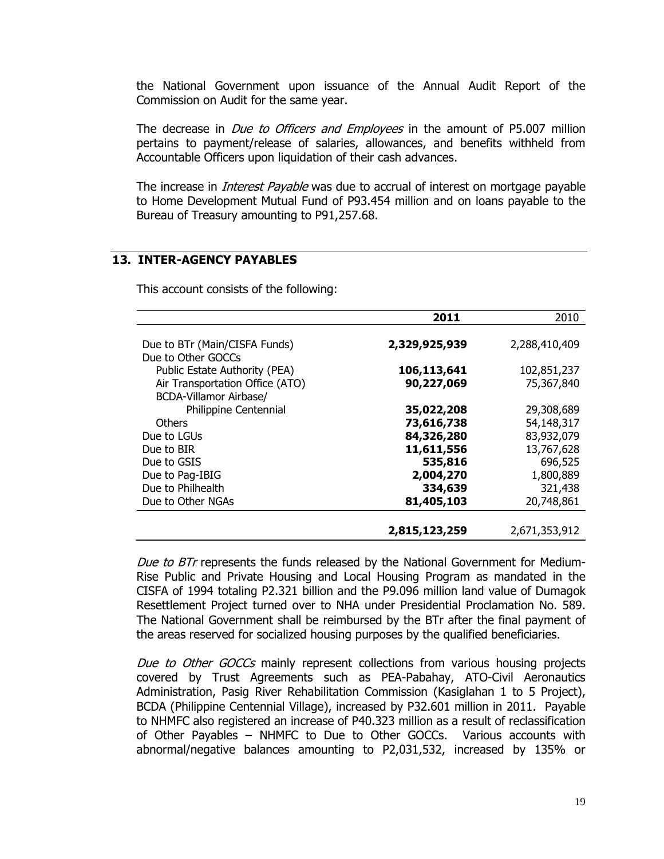the National Government upon issuance of the Annual Audit Report of the Commission on Audit for the same year.

The decrease in *Due to Officers and Employees* in the amount of P5.007 million pertains to payment/release of salaries, allowances, and benefits withheld from Accountable Officers upon liquidation of their cash advances.

The increase in *Interest Payable* was due to accrual of interest on mortgage payable to Home Development Mutual Fund of P93.454 million and on loans payable to the Bureau of Treasury amounting to P91,257.68.

#### **13. INTER-AGENCY PAYABLES**

This account consists of the following:

|                                 | 2011          | 2010          |
|---------------------------------|---------------|---------------|
|                                 |               |               |
| Due to BTr (Main/CISFA Funds)   | 2,329,925,939 | 2,288,410,409 |
| Due to Other GOCCs              |               |               |
| Public Estate Authority (PEA)   | 106,113,641   | 102,851,237   |
| Air Transportation Office (ATO) | 90,227,069    | 75,367,840    |
| BCDA-Villamor Airbase/          |               |               |
| Philippine Centennial           | 35,022,208    | 29,308,689    |
| <b>Others</b>                   | 73,616,738    | 54,148,317    |
| Due to LGUs                     | 84,326,280    | 83,932,079    |
| Due to BIR                      | 11,611,556    | 13,767,628    |
| Due to GSIS                     | 535,816       | 696,525       |
| Due to Pag-IBIG                 | 2,004,270     | 1,800,889     |
| Due to Philhealth               | 334,639       | 321,438       |
| Due to Other NGAs               | 81,405,103    | 20,748,861    |
|                                 |               |               |
|                                 | 2,815,123,259 | 2,671,353,912 |

Due to BTr represents the funds released by the National Government for Medium-Rise Public and Private Housing and Local Housing Program as mandated in the CISFA of 1994 totaling P2.321 billion and the P9.096 million land value of Dumagok Resettlement Project turned over to NHA under Presidential Proclamation No. 589. The National Government shall be reimbursed by the BTr after the final payment of the areas reserved for socialized housing purposes by the qualified beneficiaries.

Due to Other GOCCs mainly represent collections from various housing projects covered by Trust Agreements such as PEA-Pabahay, ATO-Civil Aeronautics Administration, Pasig River Rehabilitation Commission (Kasiglahan 1 to 5 Project), BCDA (Philippine Centennial Village), increased by P32.601 million in 2011. Payable to NHMFC also registered an increase of P40.323 million as a result of reclassification of Other Payables – NHMFC to Due to Other GOCCs. Various accounts with abnormal/negative balances amounting to P2,031,532, increased by 135% or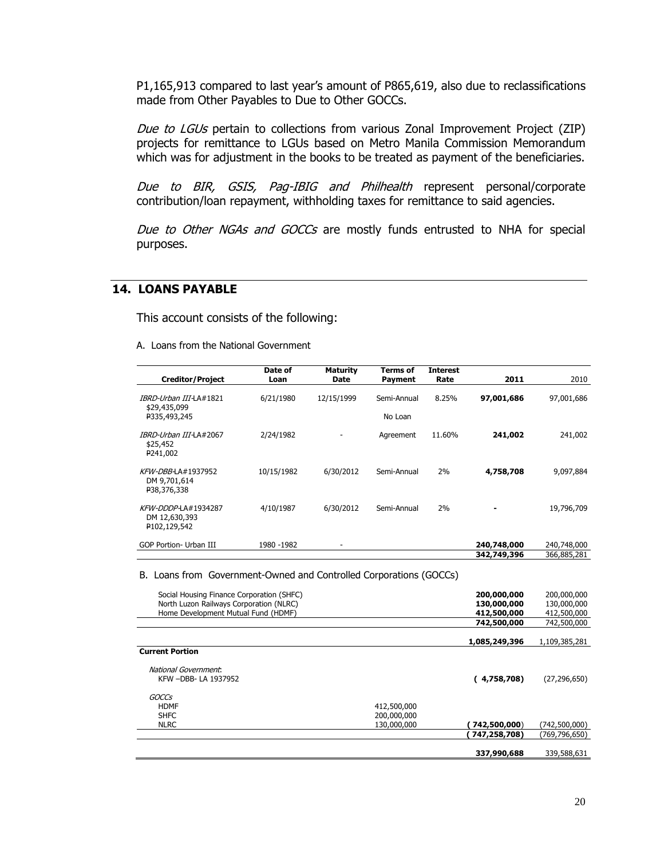P1,165,913 compared to last year's amount of P865,619, also due to reclassifications made from Other Payables to Due to Other GOCCs.

Due to LGUs pertain to collections from various Zonal Improvement Project (ZIP) projects for remittance to LGUs based on Metro Manila Commission Memorandum which was for adjustment in the books to be treated as payment of the beneficiaries.

Due to BIR, GSIS, Pag-IBIG and Philhealth represent personal/corporate contribution/loan repayment, withholding taxes for remittance to said agencies.

Due to Other NGAs and GOCCs are mostly funds entrusted to NHA for special purposes.

#### **14. LOANS PAYABLE**

This account consists of the following:

A. Loans from the National Government

| <b>Creditor/Project</b>                                             | Date of<br>Loan | <b>Maturity</b><br><b>Date</b> | Terms of<br>Payment    | <b>Interest</b><br>Rate | 2011                       | 2010                       |
|---------------------------------------------------------------------|-----------------|--------------------------------|------------------------|-------------------------|----------------------------|----------------------------|
| IBRD-Urban III-LA#1821<br>\$29,435,099<br>P335,493,245              | 6/21/1980       | 12/15/1999                     | Semi-Annual<br>No Loan | 8.25%                   | 97,001,686                 | 97,001,686                 |
| IBRD-Urban III-LA#2067<br>\$25,452<br>P241,002                      | 2/24/1982       |                                | Agreement              | 11.60%                  | 241,002                    | 241,002                    |
| KFW-DBB-LA#1937952<br>DM 9,701,614<br>P38,376,338                   | 10/15/1982      | 6/30/2012                      | Semi-Annual            | 2%                      | 4,758,708                  | 9,097,884                  |
| KFW-DDDP-LA#1934287<br>DM 12,630,393<br>P102,129,542                | 4/10/1987       | 6/30/2012                      | Semi-Annual            | 2%                      |                            | 19,796,709                 |
| <b>GOP Portion- Urban III</b>                                       | 1980 - 1982     |                                |                        |                         | 240,748,000<br>342,749,396 | 240,748,000<br>366,885,281 |
| D. Leans from Coverancest Owned and Controlled Cornerations (COCCo) |                 |                                |                        |                         |                            |                            |

B. Loans from Government-Owned and Controlled Corporations (GOCCs)

| Social Housing Finance Corporation (SHFC) |             | 200,000,000   | 200,000,000    |
|-------------------------------------------|-------------|---------------|----------------|
| North Luzon Railways Corporation (NLRC)   |             | 130,000,000   | 130,000,000    |
| Home Development Mutual Fund (HDMF)       |             | 412,500,000   | 412,500,000    |
|                                           |             | 742,500,000   | 742,500,000    |
|                                           |             |               |                |
|                                           |             | 1,085,249,396 | 1,109,385,281  |
| <b>Current Portion</b>                    |             |               |                |
| National Government:                      |             |               |                |
| KFW -DBB- LA 1937952                      |             | (4,758,708)   | (27, 296, 650) |
| GOCCs                                     |             |               |                |
| <b>HDMF</b>                               | 412,500,000 |               |                |
| <b>SHFC</b>                               | 200,000,000 |               |                |
| <b>NLRC</b>                               | 130,000,000 | 742,500,000)  | (742,500,000)  |
|                                           |             | 747,258,708)  | (769,796,650)  |
|                                           |             |               |                |
|                                           |             | 337,990,688   | 339,588,631    |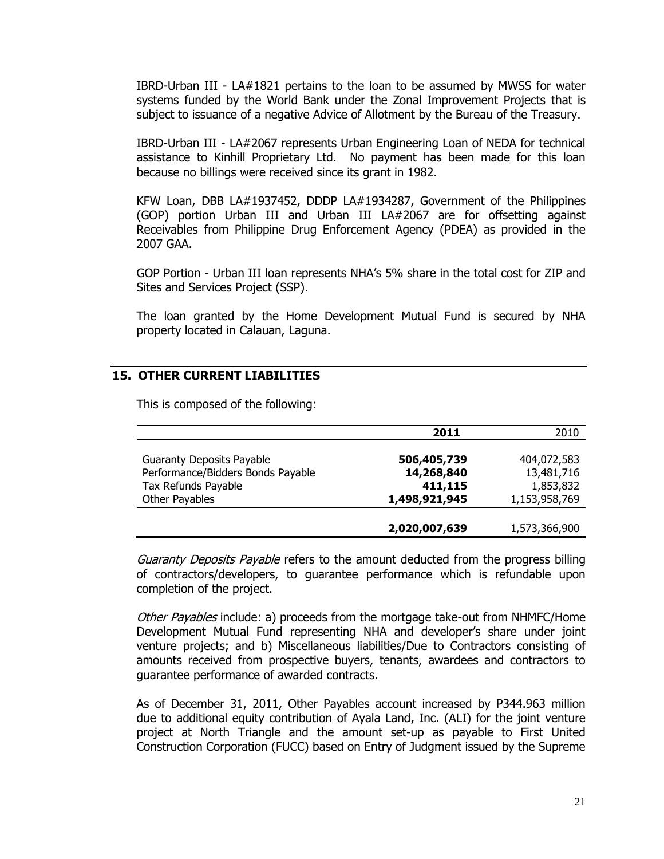IBRD-Urban III - LA#1821 pertains to the loan to be assumed by MWSS for water systems funded by the World Bank under the Zonal Improvement Projects that is subject to issuance of a negative Advice of Allotment by the Bureau of the Treasury.

IBRD-Urban III - LA#2067 represents Urban Engineering Loan of NEDA for technical assistance to Kinhill Proprietary Ltd. No payment has been made for this loan because no billings were received since its grant in 1982.

KFW Loan, DBB LA#1937452, DDDP LA#1934287, Government of the Philippines (GOP) portion Urban III and Urban III LA#2067 are for offsetting against Receivables from Philippine Drug Enforcement Agency (PDEA) as provided in the 2007 GAA.

GOP Portion - Urban III loan represents NHA's 5% share in the total cost for ZIP and Sites and Services Project (SSP).

The loan granted by the Home Development Mutual Fund is secured by NHA property located in Calauan, Laguna.

# **15. OTHER CURRENT LIABILITIES**

|                                   | 2011          | 2010          |
|-----------------------------------|---------------|---------------|
|                                   |               |               |
| <b>Guaranty Deposits Payable</b>  | 506,405,739   | 404,072,583   |
| Performance/Bidders Bonds Payable | 14,268,840    | 13,481,716    |
| Tax Refunds Payable               | 411,115       | 1,853,832     |
| Other Payables                    | 1,498,921,945 | 1,153,958,769 |
|                                   |               |               |
|                                   | 2,020,007,639 | 1,573,366,900 |

This is composed of the following:

Guaranty Deposits Payable refers to the amount deducted from the progress billing of contractors/developers, to guarantee performance which is refundable upon completion of the project.

Other Payables include: a) proceeds from the mortgage take-out from NHMFC/Home Development Mutual Fund representing NHA and developer's share under joint venture projects; and b) Miscellaneous liabilities/Due to Contractors consisting of amounts received from prospective buyers, tenants, awardees and contractors to guarantee performance of awarded contracts.

As of December 31, 2011, Other Payables account increased by P344.963 million due to additional equity contribution of Ayala Land, Inc. (ALI) for the joint venture project at North Triangle and the amount set-up as payable to First United Construction Corporation (FUCC) based on Entry of Judgment issued by the Supreme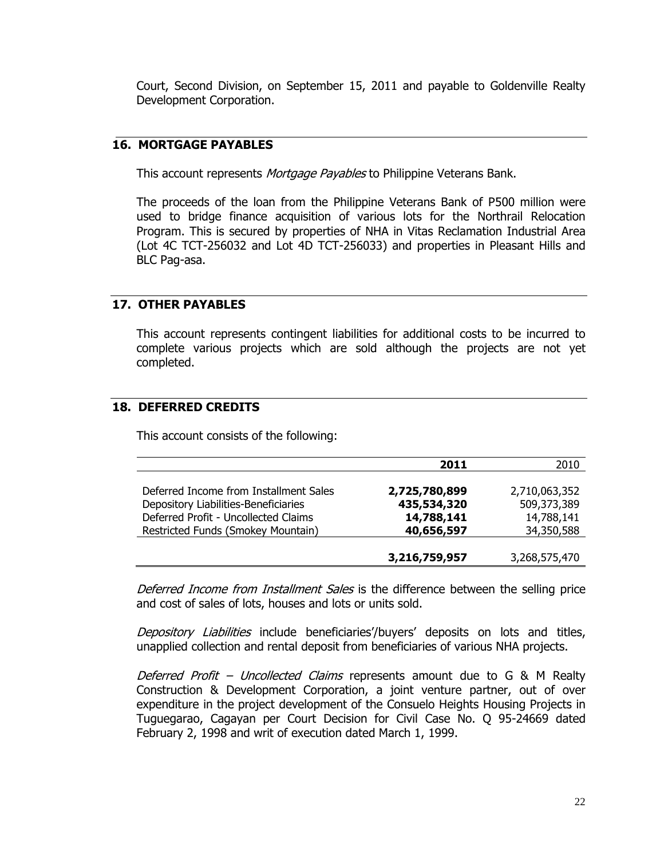Court, Second Division, on September 15, 2011 and payable to Goldenville Realty Development Corporation.

# **16. MORTGAGE PAYABLES**

This account represents *Mortgage Payables* to Philippine Veterans Bank.

The proceeds of the loan from the Philippine Veterans Bank of P500 million were used to bridge finance acquisition of various lots for the Northrail Relocation Program. This is secured by properties of NHA in Vitas Reclamation Industrial Area (Lot 4C TCT-256032 and Lot 4D TCT-256033) and properties in Pleasant Hills and BLC Pag-asa.

# **17. OTHER PAYABLES**

This account represents contingent liabilities for additional costs to be incurred to complete various projects which are sold although the projects are not yet completed.

# **18. DEFERRED CREDITS**

This account consists of the following:

|                                        | 2011          | 2010          |
|----------------------------------------|---------------|---------------|
|                                        |               |               |
| Deferred Income from Installment Sales | 2,725,780,899 | 2,710,063,352 |
| Depository Liabilities-Beneficiaries   | 435,534,320   | 509,373,389   |
| Deferred Profit - Uncollected Claims   | 14,788,141    | 14,788,141    |
| Restricted Funds (Smokey Mountain)     | 40,656,597    | 34,350,588    |
|                                        |               |               |
|                                        | 3,216,759,957 | 3,268,575,470 |

Deferred Income from Installment Sales is the difference between the selling price and cost of sales of lots, houses and lots or units sold.

Depository Liabilities include beneficiaries'/buyers' deposits on lots and titles, unapplied collection and rental deposit from beneficiaries of various NHA projects.

Deferred Profit – Uncollected Claims represents amount due to G  $\&$  M Realty Construction & Development Corporation, a joint venture partner, out of over expenditure in the project development of the Consuelo Heights Housing Projects in Tuguegarao, Cagayan per Court Decision for Civil Case No. Q 95-24669 dated February 2, 1998 and writ of execution dated March 1, 1999.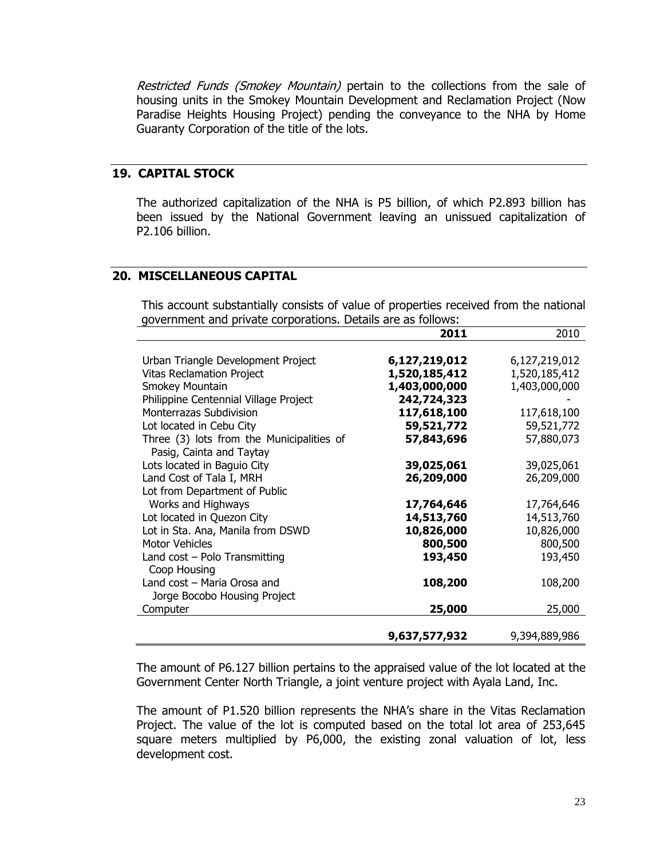Restricted Funds (Smokey Mountain) pertain to the collections from the sale of housing units in the Smokey Mountain Development and Reclamation Project (Now Paradise Heights Housing Project) pending the conveyance to the NHA by Home Guaranty Corporation of the title of the lots.

# **19. CAPITAL STOCK**

The authorized capitalization of the NHA is P5 billion, of which P2.893 billion has been issued by the National Government leaving an unissued capitalization of P2.106 billion.

# **20. MISCELLANEOUS CAPITAL**

This account substantially consists of value of properties received from the national government and private corporations. Details are as follows:

|                                           | 2011          | 2010          |
|-------------------------------------------|---------------|---------------|
|                                           |               |               |
| Urban Triangle Development Project        | 6,127,219,012 | 6,127,219,012 |
| <b>Vitas Reclamation Project</b>          | 1,520,185,412 | 1,520,185,412 |
| Smokey Mountain                           | 1,403,000,000 | 1,403,000,000 |
| Philippine Centennial Village Project     | 242,724,323   |               |
| Monterrazas Subdivision                   | 117,618,100   | 117,618,100   |
| Lot located in Cebu City                  | 59,521,772    | 59,521,772    |
| Three (3) lots from the Municipalities of | 57,843,696    | 57,880,073    |
| Pasig, Cainta and Taytay                  |               |               |
| Lots located in Baguio City               | 39,025,061    | 39,025,061    |
| Land Cost of Tala I, MRH                  | 26,209,000    | 26,209,000    |
| Lot from Department of Public             |               |               |
| Works and Highways                        | 17,764,646    | 17,764,646    |
| Lot located in Quezon City                | 14,513,760    | 14,513,760    |
| Lot in Sta. Ana, Manila from DSWD         | 10,826,000    | 10,826,000    |
| <b>Motor Vehicles</b>                     | 800,500       | 800,500       |
| Land $cost - Polo$ Transmitting           | 193,450       | 193,450       |
| Coop Housing                              |               |               |
| Land cost - Maria Orosa and               | 108,200       | 108,200       |
| Jorge Bocobo Housing Project              |               |               |
| Computer                                  | 25,000        | 25,000        |
|                                           |               |               |
|                                           | 9,637,577,932 | 9,394,889,986 |

The amount of P6.127 billion pertains to the appraised value of the lot located at the Government Center North Triangle, a joint venture project with Ayala Land, Inc.

The amount of P1.520 billion represents the NHA's share in the Vitas Reclamation Project. The value of the lot is computed based on the total lot area of 253,645 square meters multiplied by P6,000, the existing zonal valuation of lot, less development cost.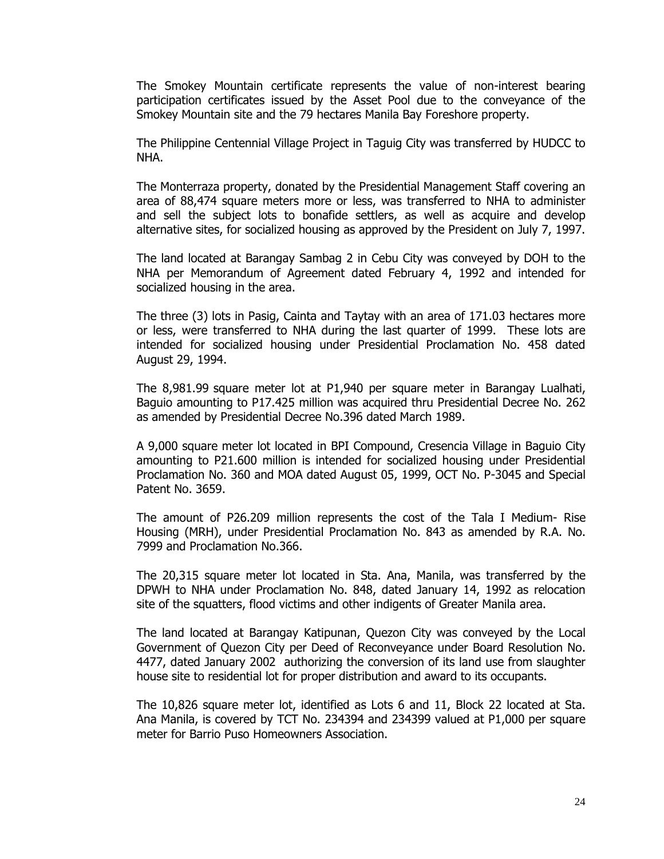The Smokey Mountain certificate represents the value of non-interest bearing participation certificates issued by the Asset Pool due to the conveyance of the Smokey Mountain site and the 79 hectares Manila Bay Foreshore property.

The Philippine Centennial Village Project in Taguig City was transferred by HUDCC to NHA.

The Monterraza property, donated by the Presidential Management Staff covering an area of 88,474 square meters more or less, was transferred to NHA to administer and sell the subject lots to bonafide settlers, as well as acquire and develop alternative sites, for socialized housing as approved by the President on July 7, 1997.

The land located at Barangay Sambag 2 in Cebu City was conveyed by DOH to the NHA per Memorandum of Agreement dated February 4, 1992 and intended for socialized housing in the area.

The three (3) lots in Pasig, Cainta and Taytay with an area of 171.03 hectares more or less, were transferred to NHA during the last quarter of 1999. These lots are intended for socialized housing under Presidential Proclamation No. 458 dated August 29, 1994.

The 8,981.99 square meter lot at P1,940 per square meter in Barangay Lualhati, Baguio amounting to P17.425 million was acquired thru Presidential Decree No. 262 as amended by Presidential Decree No.396 dated March 1989.

A 9,000 square meter lot located in BPI Compound, Cresencia Village in Baguio City amounting to P21.600 million is intended for socialized housing under Presidential Proclamation No. 360 and MOA dated August 05, 1999, OCT No. P-3045 and Special Patent No. 3659.

The amount of P26.209 million represents the cost of the Tala I Medium- Rise Housing (MRH), under Presidential Proclamation No. 843 as amended by R.A. No. 7999 and Proclamation No.366.

The 20,315 square meter lot located in Sta. Ana, Manila, was transferred by the DPWH to NHA under Proclamation No. 848, dated January 14, 1992 as relocation site of the squatters, flood victims and other indigents of Greater Manila area.

The land located at Barangay Katipunan, Quezon City was conveyed by the Local Government of Quezon City per Deed of Reconveyance under Board Resolution No. 4477, dated January 2002 authorizing the conversion of its land use from slaughter house site to residential lot for proper distribution and award to its occupants.

The 10,826 square meter lot, identified as Lots 6 and 11, Block 22 located at Sta. Ana Manila, is covered by TCT No. 234394 and 234399 valued at P1,000 per square meter for Barrio Puso Homeowners Association.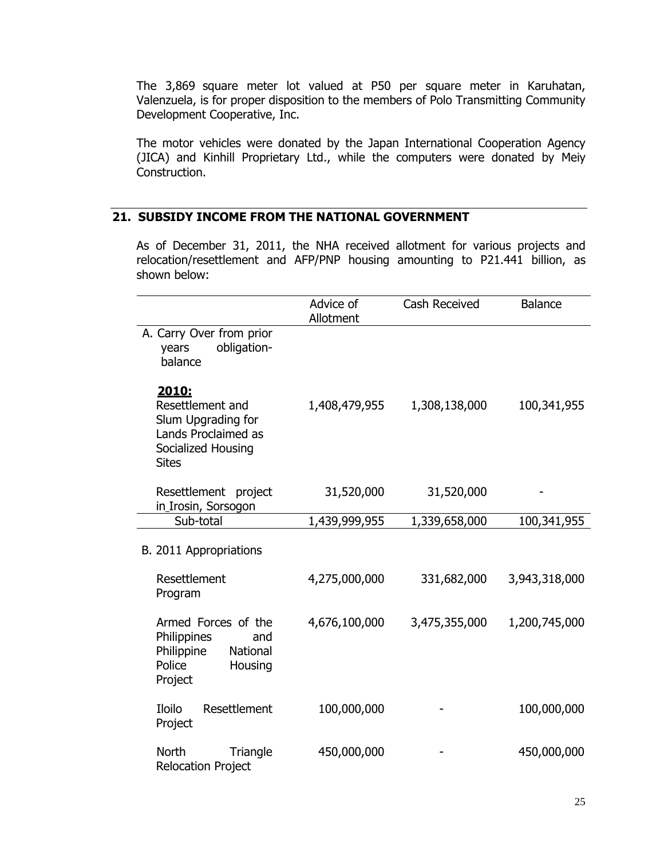The 3,869 square meter lot valued at P50 per square meter in Karuhatan, Valenzuela, is for proper disposition to the members of Polo Transmitting Community Development Cooperative, Inc.

The motor vehicles were donated by the Japan International Cooperation Agency (JICA) and Kinhill Proprietary Ltd., while the computers were donated by Meiy Construction.

# **21. SUBSIDY INCOME FROM THE NATIONAL GOVERNMENT**

As of December 31, 2011, the NHA received allotment for various projects and relocation/resettlement and AFP/PNP housing amounting to P21.441 billion, as shown below:

|                                                                                                              | Advice of<br>Allotment | <b>Cash Received</b> | <b>Balance</b> |
|--------------------------------------------------------------------------------------------------------------|------------------------|----------------------|----------------|
| A. Carry Over from prior<br>obligation-<br>years<br>balance                                                  |                        |                      |                |
| 2010:<br>Resettlement and<br>Slum Upgrading for<br>Lands Proclaimed as<br>Socialized Housing<br><b>Sites</b> | 1,408,479,955          | 1,308,138,000        | 100,341,955    |
| Resettlement project<br>in_Irosin, Sorsogon                                                                  | 31,520,000             | 31,520,000           |                |
| Sub-total                                                                                                    | 1,439,999,955          | 1,339,658,000        | 100,341,955    |
| B. 2011 Appropriations                                                                                       |                        |                      |                |
| Resettlement<br>Program                                                                                      | 4,275,000,000          | 331,682,000          | 3,943,318,000  |
| Armed Forces of the<br>Philippines<br>and<br>Philippine<br>National<br>Police<br>Housing<br>Project          | 4,676,100,000          | 3,475,355,000        | 1,200,745,000  |
| Iloilo<br>Resettlement<br>Project                                                                            | 100,000,000            |                      | 100,000,000    |
| <b>North</b><br>Triangle<br><b>Relocation Project</b>                                                        | 450,000,000            |                      | 450,000,000    |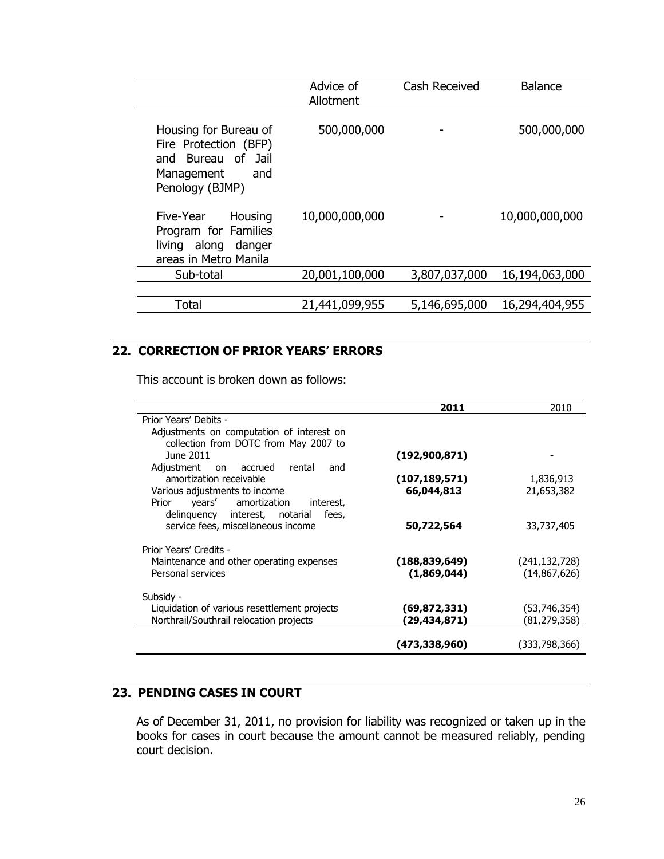|                                                                                                              | Advice of<br>Allotment | Cash Received | <b>Balance</b> |
|--------------------------------------------------------------------------------------------------------------|------------------------|---------------|----------------|
| Housing for Bureau of<br>Fire Protection (BFP)<br>and Bureau of Jail<br>Management<br>and<br>Penology (BJMP) | 500,000,000            |               | 500,000,000    |
| Five-Year Housing<br>Program for Families<br>living along danger<br>areas in Metro Manila                    | 10,000,000,000         |               | 10,000,000,000 |
| Sub-total                                                                                                    | 20,001,100,000         | 3,807,037,000 | 16,194,063,000 |
|                                                                                                              |                        |               |                |
| <b>Total</b>                                                                                                 | 21,441,099,955         | 5,146,695,000 | 16,294,404,955 |
|                                                                                                              |                        |               |                |

# **22. CORRECTION OF PRIOR YEARS' ERRORS**

This account is broken down as follows:

|                                              | 2011            | 2010            |
|----------------------------------------------|-----------------|-----------------|
| Prior Years' Debits -                        |                 |                 |
| Adjustments on computation of interest on    |                 |                 |
| collection from DOTC from May 2007 to        |                 |                 |
| June 2011                                    | (192, 900, 871) |                 |
| Adjustment<br>on accrued<br>rental<br>and    |                 |                 |
| amortization receivable                      | (107,189,571)   | 1,836,913       |
| Various adjustments to income                | 66,044,813      | 21,653,382      |
| Prior years' amortization<br>interest,       |                 |                 |
| delinquency interest, notarial fees,         |                 |                 |
| service fees, miscellaneous income           | 50,722,564      | 33,737,405      |
|                                              |                 |                 |
| Prior Years' Credits -                       |                 |                 |
| Maintenance and other operating expenses     | (188, 839, 649) | (241, 132, 728) |
| Personal services                            | (1,869,044)     | (14,867,626)    |
|                                              |                 |                 |
| Subsidy -                                    |                 |                 |
| Liquidation of various resettlement projects | (69,872,331)    | (53,746,354)    |
| Northrail/Southrail relocation projects      | (29,434,871)    | (81, 279, 358)  |
|                                              |                 |                 |
|                                              | (473,338,960)   | (333,798,366)   |

# **23. PENDING CASES IN COURT**

As of December 31, 2011, no provision for liability was recognized or taken up in the books for cases in court because the amount cannot be measured reliably, pending court decision.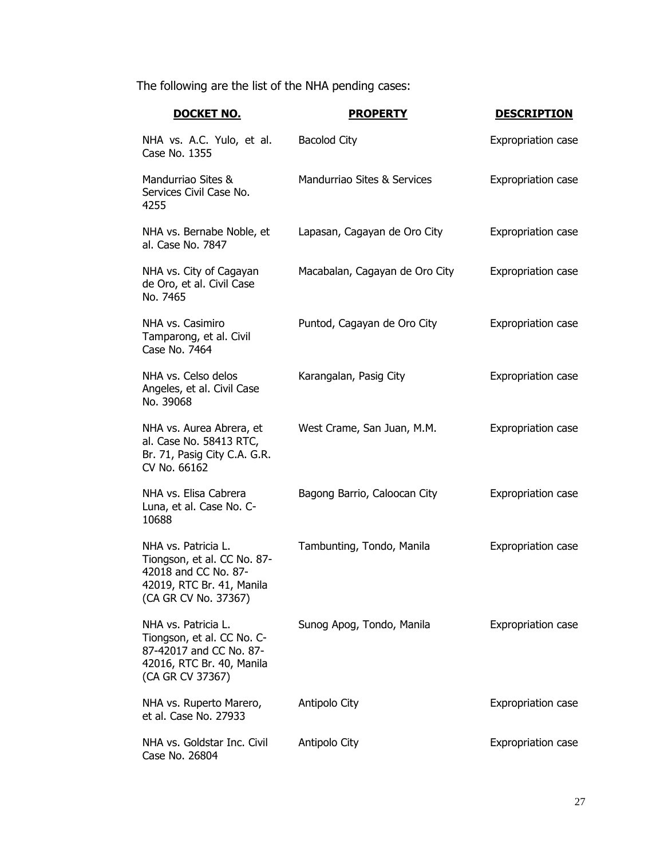The following are the list of the NHA pending cases:

| <u>DOCKET NO.</u>                                                                                                               | <b>PROPERTY</b>                | <b>DESCRIPTION</b>        |
|---------------------------------------------------------------------------------------------------------------------------------|--------------------------------|---------------------------|
| NHA vs. A.C. Yulo, et al.<br>Case No. 1355                                                                                      | <b>Bacolod City</b>            | <b>Expropriation case</b> |
| Mandurriao Sites &<br>Services Civil Case No.<br>4255                                                                           | Mandurriao Sites & Services    | <b>Expropriation case</b> |
| NHA vs. Bernabe Noble, et<br>al. Case No. 7847                                                                                  | Lapasan, Cagayan de Oro City   | <b>Expropriation case</b> |
| NHA vs. City of Cagayan<br>de Oro, et al. Civil Case<br>No. 7465                                                                | Macabalan, Cagayan de Oro City | Expropriation case        |
| NHA vs. Casimiro<br>Tamparong, et al. Civil<br>Case No. 7464                                                                    | Puntod, Cagayan de Oro City    | <b>Expropriation case</b> |
| NHA vs. Celso delos<br>Angeles, et al. Civil Case<br>No. 39068                                                                  | Karangalan, Pasig City         | <b>Expropriation case</b> |
| NHA vs. Aurea Abrera, et<br>al. Case No. 58413 RTC,<br>Br. 71, Pasig City C.A. G.R.<br>CV No. 66162                             | West Crame, San Juan, M.M.     | <b>Expropriation case</b> |
| NHA vs. Elisa Cabrera<br>Luna, et al. Case No. C-<br>10688                                                                      | Bagong Barrio, Caloocan City   | Expropriation case        |
| NHA vs. Patricia L.<br>Tiongson, et al. CC No. 87-<br>42018 and CC No. 87-<br>42019, RTC Br. 41, Manila<br>(CA GR CV No. 37367) | Tambunting, Tondo, Manila      | Expropriation case        |
| NHA vs. Patricia L.<br>Tiongson, et al. CC No. C-<br>87-42017 and CC No. 87-<br>42016, RTC Br. 40, Manila<br>(CA GR CV 37367)   | Sunog Apog, Tondo, Manila      | Expropriation case        |
| NHA vs. Ruperto Marero,<br>et al. Case No. 27933                                                                                | Antipolo City                  | Expropriation case        |
| NHA vs. Goldstar Inc. Civil<br>Case No. 26804                                                                                   | Antipolo City                  | <b>Expropriation case</b> |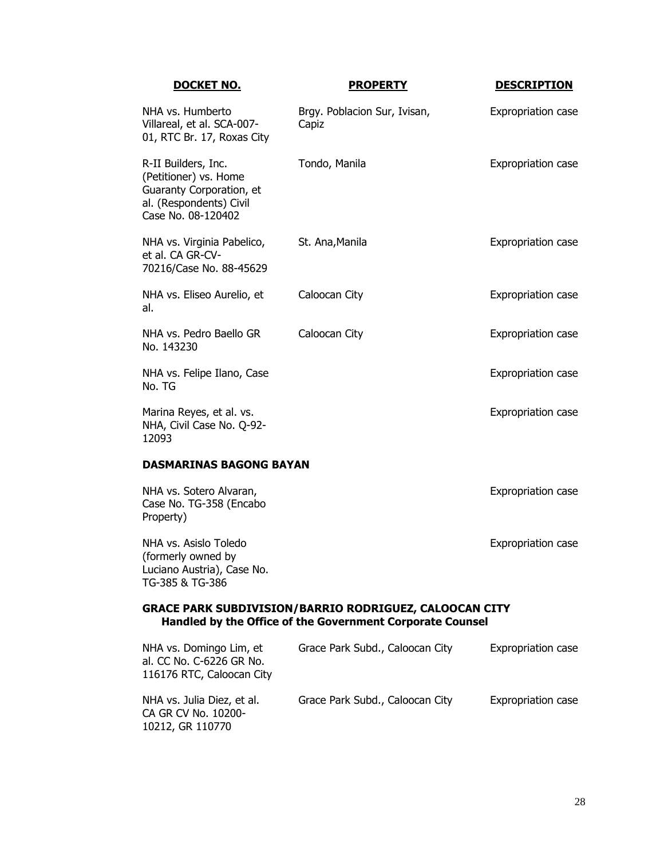| DOCKET NO.                                                                                                                | <b>PROPERTY</b>                       | <b>DESCRIPTION</b> |
|---------------------------------------------------------------------------------------------------------------------------|---------------------------------------|--------------------|
| NHA vs. Humberto<br>Villareal, et al. SCA-007-<br>01, RTC Br. 17, Roxas City                                              | Brgy. Poblacion Sur, Ivisan,<br>Capiz | Expropriation case |
| R-II Builders, Inc.<br>(Petitioner) vs. Home<br>Guaranty Corporation, et<br>al. (Respondents) Civil<br>Case No. 08-120402 | Tondo, Manila                         | Expropriation case |
| NHA vs. Virginia Pabelico,<br>et al. CA GR-CV-<br>70216/Case No. 88-45629                                                 | St. Ana, Manila                       | Expropriation case |
| NHA vs. Eliseo Aurelio, et<br>al.                                                                                         | Caloocan City                         | Expropriation case |
| NHA vs. Pedro Baello GR<br>No. 143230                                                                                     | Caloocan City                         | Expropriation case |
| NHA vs. Felipe Ilano, Case<br>No. TG                                                                                      |                                       | Expropriation case |
| Marina Reyes, et al. vs.<br>NHA, Civil Case No. Q-92-<br>12093                                                            |                                       | Expropriation case |
| <b>DASMARINAS BAGONG BAYAN</b>                                                                                            |                                       |                    |
| NHA vs. Sotero Alvaran,<br>Case No. TG-358 (Encabo<br>Property)                                                           |                                       | Expropriation case |
| Allia vo Aciolo Tolodo                                                                                                    |                                       | Evanopuintion and  |

NHA vs. Asislo Toledo (formerly owned by Luciano Austria), Case No. TG-385 & TG-386

Expropriation case

#### **GRACE PARK SUBDIVISION/BARRIO RODRIGUEZ, CALOOCAN CITY Handled by the Office of the Government Corporate Counsel**

| NHA vs. Domingo Lim, et<br>al. CC No. C-6226 GR No.<br>116176 RTC, Caloocan City | Grace Park Subd., Caloocan City | <b>Expropriation case</b> |
|----------------------------------------------------------------------------------|---------------------------------|---------------------------|
| NHA vs. Julia Diez, et al.<br>CA GR CV No. 10200-<br>10212, GR 110770            | Grace Park Subd., Caloocan City | <b>Expropriation case</b> |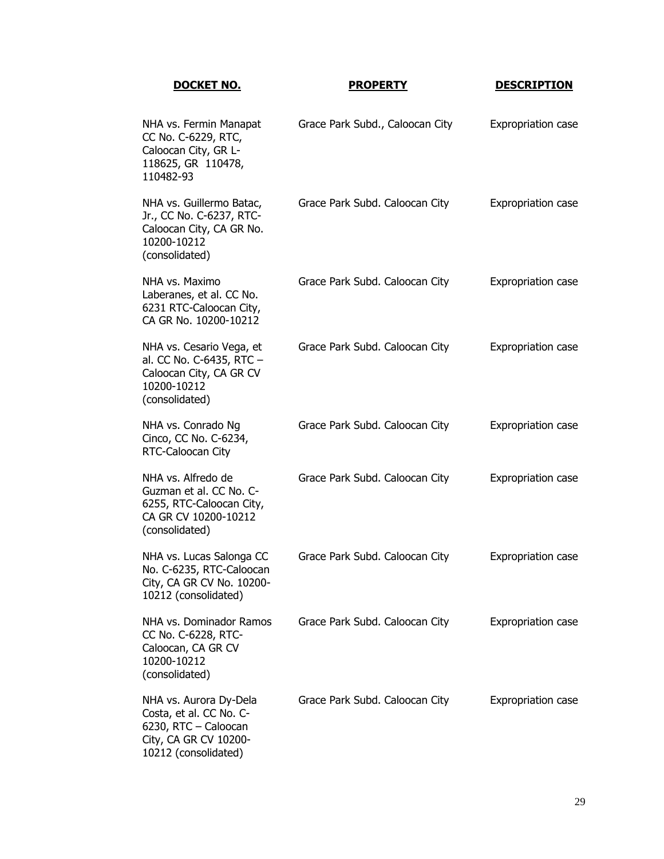| <u>DOCKET NO.</u>                                                                                                          | <b>PROPERTY</b>                 | <b>DESCRIPTION</b>        |
|----------------------------------------------------------------------------------------------------------------------------|---------------------------------|---------------------------|
| NHA vs. Fermin Manapat<br>CC No. C-6229, RTC,<br>Caloocan City, GR L-<br>118625, GR 110478,<br>110482-93                   | Grace Park Subd., Caloocan City | <b>Expropriation case</b> |
| NHA vs. Guillermo Batac,<br>Jr., CC No. C-6237, RTC-<br>Caloocan City, CA GR No.<br>10200-10212<br>(consolidated)          | Grace Park Subd. Caloocan City  | <b>Expropriation case</b> |
| NHA vs. Maximo<br>Laberanes, et al. CC No.<br>6231 RTC-Caloocan City,<br>CA GR No. 10200-10212                             | Grace Park Subd. Caloocan City  | <b>Expropriation case</b> |
| NHA vs. Cesario Vega, et<br>al. CC No. C-6435, RTC -<br>Caloocan City, CA GR CV<br>10200-10212<br>(consolidated)           | Grace Park Subd. Caloocan City  | <b>Expropriation case</b> |
| NHA vs. Conrado Ng<br>Cinco, CC No. C-6234,<br>RTC-Caloocan City                                                           | Grace Park Subd. Caloocan City  | <b>Expropriation case</b> |
| NHA vs. Alfredo de<br>Guzman et al. CC No. C-<br>6255, RTC-Caloocan City,<br>CA GR CV 10200-10212<br>(consolidated)        | Grace Park Subd. Caloocan City  | <b>Expropriation case</b> |
| NHA vs. Lucas Salonga CC<br>No. C-6235, RTC-Caloocan<br>City, CA GR CV No. 10200-<br>10212 (consolidated)                  | Grace Park Subd. Caloocan City  | <b>Expropriation case</b> |
| NHA vs. Dominador Ramos<br>CC No. C-6228, RTC-<br>Caloocan, CA GR CV<br>10200-10212<br>(consolidated)                      | Grace Park Subd. Caloocan City  | <b>Expropriation case</b> |
| NHA vs. Aurora Dy-Dela<br>Costa, et al. CC No. C-<br>6230, RTC - Caloocan<br>City, CA GR CV 10200-<br>10212 (consolidated) | Grace Park Subd. Caloocan City  | Expropriation case        |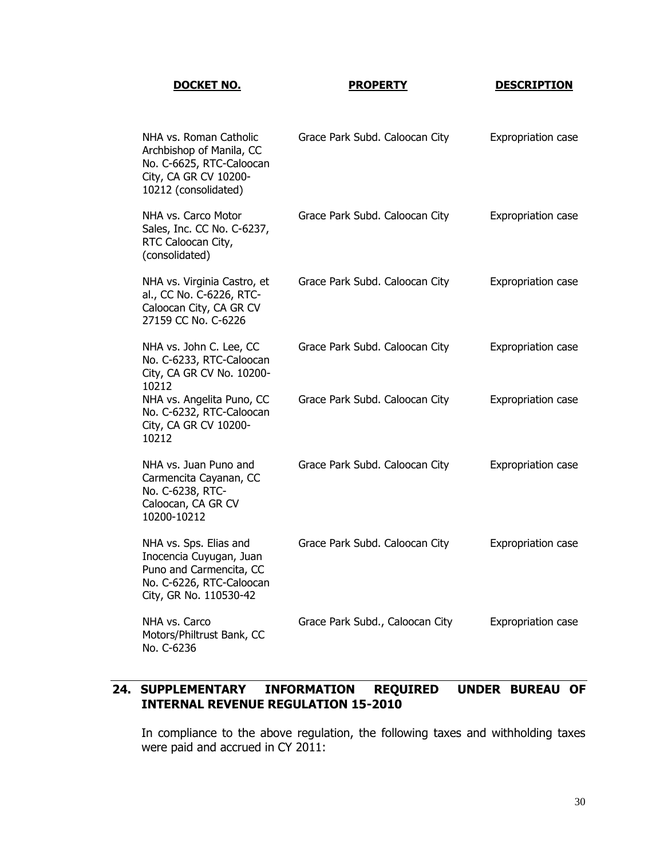#### **DOCKET NO. PROPERTY DESCRIPTION**

| NHA vs. Roman Catholic<br>Archbishop of Manila, CC<br>No. C-6625, RTC-Caloocan<br>City, CA GR CV 10200-<br>10212 (consolidated)    | Grace Park Subd. Caloocan City  | Expropriation case        |
|------------------------------------------------------------------------------------------------------------------------------------|---------------------------------|---------------------------|
| NHA vs. Carco Motor<br>Sales, Inc. CC No. C-6237,<br>RTC Caloocan City,<br>(consolidated)                                          | Grace Park Subd. Caloocan City  | <b>Expropriation case</b> |
| NHA vs. Virginia Castro, et<br>al., CC No. C-6226, RTC-<br>Caloocan City, CA GR CV<br>27159 CC No. C-6226                          | Grace Park Subd. Caloocan City  | <b>Expropriation case</b> |
| NHA vs. John C. Lee, CC<br>No. C-6233, RTC-Caloocan<br>City, CA GR CV No. 10200-<br>10212                                          | Grace Park Subd. Caloocan City  | Expropriation case        |
| NHA vs. Angelita Puno, CC<br>No. C-6232, RTC-Caloocan<br>City, CA GR CV 10200-<br>10212                                            | Grace Park Subd. Caloocan City  | Expropriation case        |
| NHA vs. Juan Puno and<br>Carmencita Cayanan, CC<br>No. C-6238, RTC-<br>Caloocan, CA GR CV<br>10200-10212                           | Grace Park Subd. Caloocan City  | Expropriation case        |
| NHA vs. Sps. Elias and<br>Inocencia Cuyugan, Juan<br>Puno and Carmencita, CC<br>No. C-6226, RTC-Caloocan<br>City, GR No. 110530-42 | Grace Park Subd. Caloocan City  | Expropriation case        |
| NHA vs. Carco<br>Motors/Philtrust Bank, CC<br>No. C-6236                                                                           | Grace Park Subd., Caloocan City | <b>Expropriation case</b> |

# **24. SUPPLEMENTARY INFORMATION REQUIRED UNDER BUREAU OF INTERNAL REVENUE REGULATION 15-2010**

In compliance to the above regulation, the following taxes and withholding taxes were paid and accrued in CY 2011: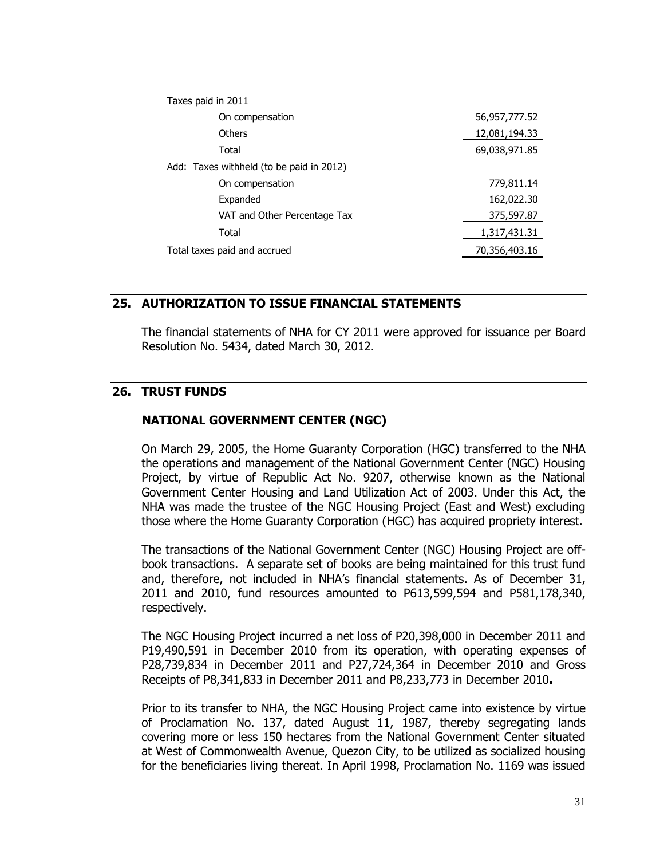| Taxes paid in 2011                       |               |
|------------------------------------------|---------------|
| On compensation                          | 56,957,777.52 |
| Others                                   | 12,081,194.33 |
| Total                                    | 69,038,971.85 |
| Add: Taxes withheld (to be paid in 2012) |               |
| On compensation                          | 779,811.14    |
| Expanded                                 | 162,022.30    |
| VAT and Other Percentage Tax             | 375,597.87    |
| Total                                    | 1,317,431.31  |
| Total taxes paid and accrued             | 70,356,403.16 |

#### **25. AUTHORIZATION TO ISSUE FINANCIAL STATEMENTS**

The financial statements of NHA for CY 2011 were approved for issuance per Board Resolution No. 5434, dated March 30, 2012.

# **26. TRUST FUNDS**

# **NATIONAL GOVERNMENT CENTER (NGC)**

On March 29, 2005, the Home Guaranty Corporation (HGC) transferred to the NHA the operations and management of the National Government Center (NGC) Housing Project, by virtue of Republic Act No. 9207, otherwise known as the National Government Center Housing and Land Utilization Act of 2003. Under this Act, the NHA was made the trustee of the NGC Housing Project (East and West) excluding those where the Home Guaranty Corporation (HGC) has acquired propriety interest.

The transactions of the National Government Center (NGC) Housing Project are offbook transactions. A separate set of books are being maintained for this trust fund and, therefore, not included in NHA's financial statements. As of December 31, 2011 and 2010, fund resources amounted to P613,599,594 and P581,178,340, respectively.

The NGC Housing Project incurred a net loss of P20,398,000 in December 2011 and P19,490,591 in December 2010 from its operation, with operating expenses of P28,739,834 in December 2011 and P27,724,364 in December 2010 and Gross Receipts of P8,341,833 in December 2011 and P8,233,773 in December 2010**.**

Prior to its transfer to NHA, the NGC Housing Project came into existence by virtue of Proclamation No. 137, dated August 11, 1987, thereby segregating lands covering more or less 150 hectares from the National Government Center situated at West of Commonwealth Avenue, Quezon City, to be utilized as socialized housing for the beneficiaries living thereat. In April 1998, Proclamation No. 1169 was issued